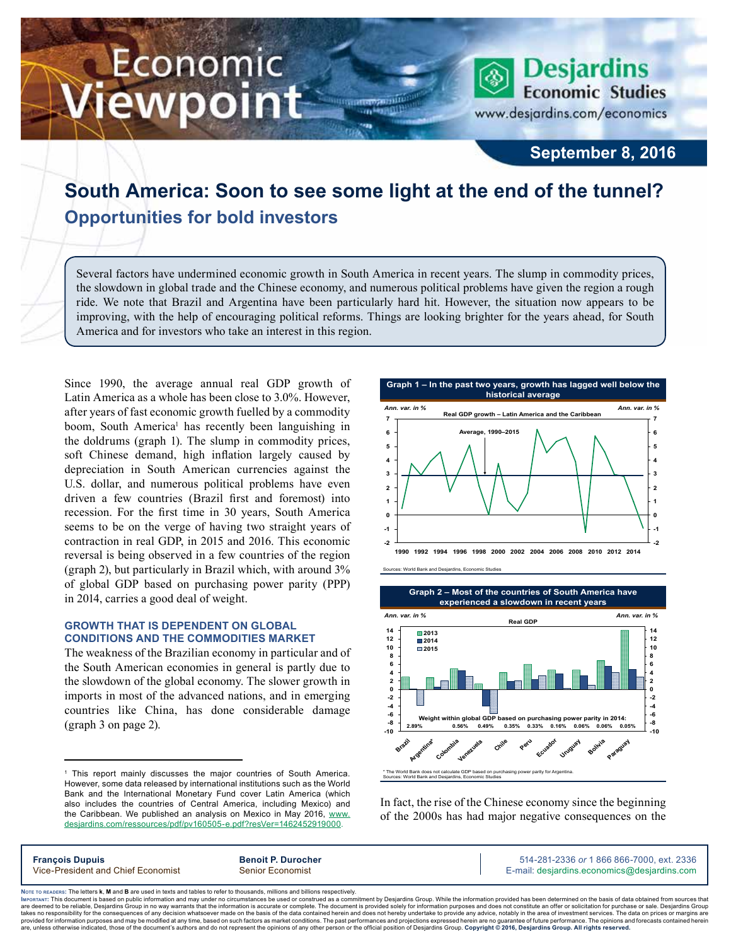# Economic ewpoint

www.desjardins.com/economics

**Desjardins** 

**Economic Studies** 

### **September 8, 2016**

## **South America: Soon to see some light at the end of the tunnel? Opportunities for bold investors**

m

Several factors have undermined economic growth in South America in recent years. The slump in commodity prices, the slowdown in global trade and the Chinese economy, and numerous political problems have given the region a rough ride. We note that Brazil and Argentina have been particularly hard hit. However, the situation now appears to be improving, with the help of encouraging political reforms. Things are looking brighter for the years ahead, for South America and for investors who take an interest in this region.

Since 1990, the average annual real GDP growth of Latin America as a whole has been close to 3.0%. However, after years of fast economic growth fuelled by a commodity boom, South America<sup>1</sup> has recently been languishing in the doldrums (graph 1). The slump in commodity prices, soft Chinese demand, high inflation largely caused by depreciation in South American currencies against the U.S. dollar, and numerous political problems have even driven a few countries (Brazil first and foremost) into recession. For the first time in 30 years, South America seems to be on the verge of having two straight years of contraction in real GDP, in 2015 and 2016. This economic reversal is being observed in a few countries of the region (graph 2), but particularly in Brazil which, with around 3% of global GDP based on purchasing power parity (PPP) in 2014, carries a good deal of weight.

#### **GROWTH THAT IS DEPENDENT ON GLOBAL CONDITIONS AND THE COMMODITIES MARKET**

The weakness of the Brazilian economy in particular and of the South American economies in general is partly due to the slowdown of the global economy. The slower growth in imports in most of the advanced nations, and in emerging countries like China, has done considerable damage (graph 3 on page 2).



Sources: World Bank and Desjardins, Economic Studies





In fact, the rise of the Chinese economy since the beginning of the 2000s has had major negative consequences on the

| <b>François Dupuls</b>             |  |
|------------------------------------|--|
| Vice-President and Chief Economist |  |

**Francit P. Durocher Contract 2336 Benoit P. Durocher 514-281-2336** *or* **1 866 866-7000, ext. 2336** Senior Economist **Senior Economist** E-mail: desjardins.economics@desjardins.com

Noте то келоекs: The letters **k, M** and **B** are used in texts and tables to refer to thousands, millions and billions respectively.<br>Імроктлит: This document is based on public information and may under no circumstances be are deemed to be reliable. Desiardins Group in no way warrants that the information is accurate or complete. The document is provided solely for information purposes and does not constitute an offer or solicitation for pur takes no responsibility for the consequences of any decision whatsoever made on the basis of the data contained herein and does not hereby undertake to provide any advice, notably in the area of investment services. The da .<br>are, unless otherwise indicated, those of the document's authors and do not represent the opinions of any other person or the official position of Desjardins Group. Copyright @ 2016, Desjardins Group. All rights reserved

<sup>1</sup> This report mainly discusses the major countries of South America. However, some data released by international institutions such as the World Bank and the International Monetary Fund cover Latin America (which also includes the countries of Central America, including Mexico) and the Caribbean. We published an analysis on Mexico in May 2016, [www.](https://www.desjardins.com/ressources/pdf/pv160505-e.pdf?resVer=1462452919000) [desjardins.com/ressources/pdf/pv160505-e.pdf?resVer=1462452919000.](https://www.desjardins.com/ressources/pdf/pv160505-e.pdf?resVer=1462452919000)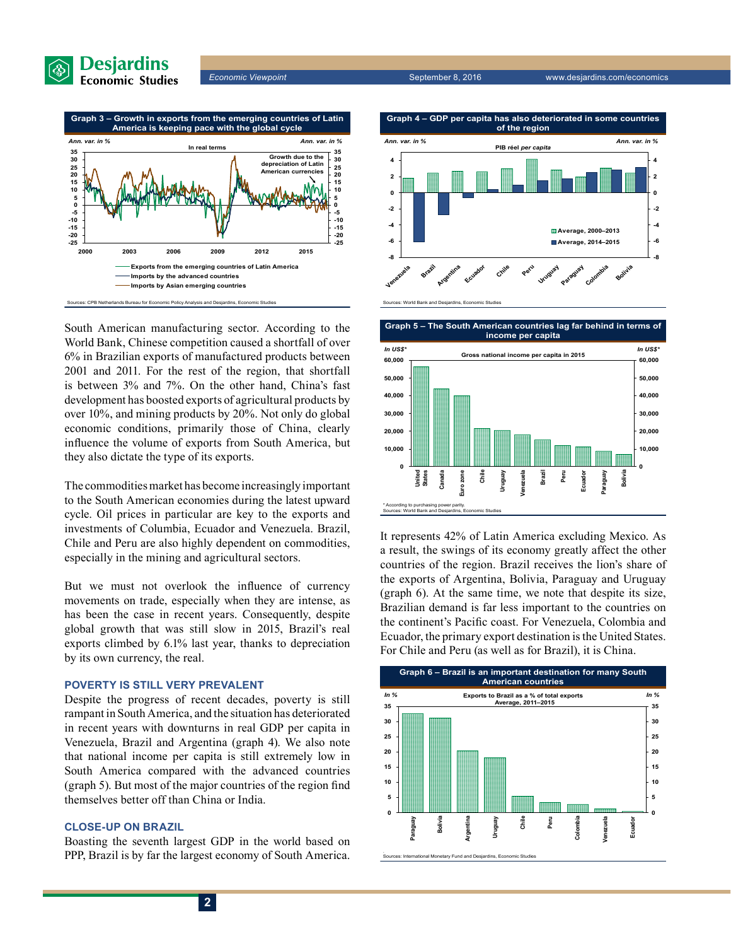





South American manufacturing sector. According to the World Bank, Chinese competition caused a shortfall of over 6% in Brazilian exports of manufactured products between 2001 and 2011. For the rest of the region, that shortfall is between 3% and 7%. On the other hand, China's fast development has boosted exports of agricultural products by over 10%, and mining products by 20%. Not only do global economic conditions, primarily those of China, clearly influence the volume of exports from South America, but they also dictate the type of its exports.

The commodities market has become increasingly important to the South American economies during the latest upward cycle. Oil prices in particular are key to the exports and investments of Columbia, Ecuador and Venezuela. Brazil, Chile and Peru are also highly dependent on commodities, especially in the mining and agricultural sectors.

But we must not overlook the influence of currency movements on trade, especially when they are intense, as has been the case in recent years. Consequently, despite global growth that was still slow in 2015, Brazil's real exports climbed by 6.1% last year, thanks to depreciation by its own currency, the real.

#### **POVERTY IS STILL VERY PREVALENT**

Despite the progress of recent decades, poverty is still rampant in South America, and the situation has deteriorated in recent years with downturns in real GDP per capita in Venezuela, Brazil and Argentina (graph 4). We also note that national income per capita is still extremely low in South America compared with the advanced countries (graph 5). But most of the major countries of the region find themselves better off than China or India.

#### **CLOSE-UP ON BRAZIL**

Boasting the seventh largest GDP in the world based on PPP, Brazil is by far the largest economy of South America.



**Graph 5 – The South American countries lag far behind in terms of** 



It represents 42% of Latin America excluding Mexico. As a result, the swings of its economy greatly affect the other countries of the region. Brazil receives the lion's share of the exports of Argentina, Bolivia, Paraguay and Uruguay (graph 6). At the same time, we note that despite its size, Brazilian demand is far less important to the countries on the continent's Pacific coast. For Venezuela, Colombia and Ecuador, the primary export destination is the United States. For Chile and Peru (as well as for Brazil), it is China.

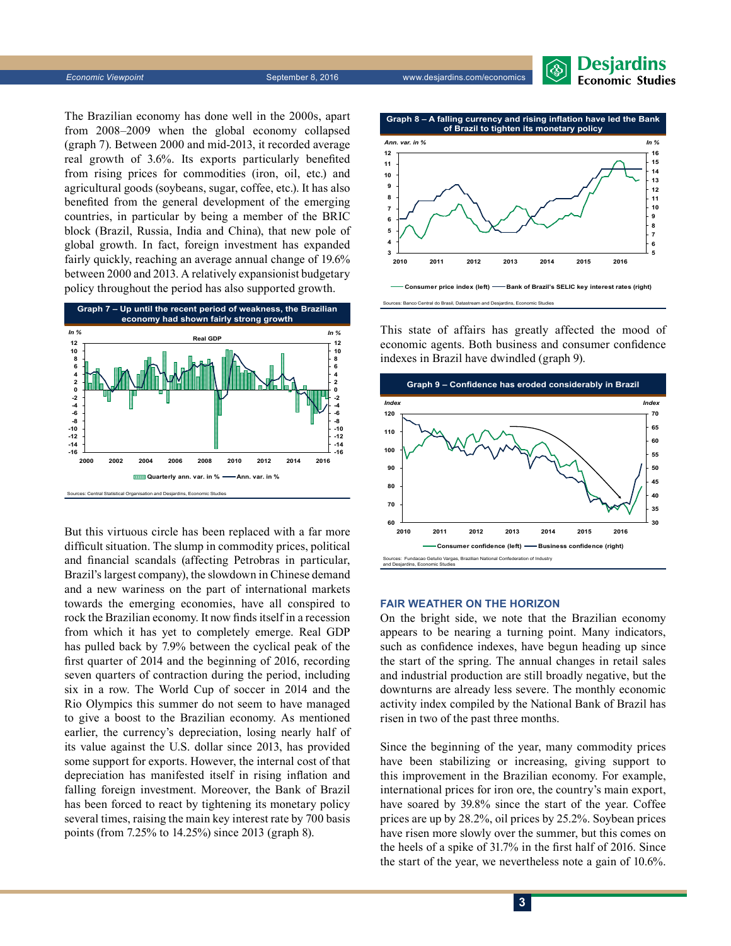

**Economic Viewpoint** September 8, 2016 www.desjardins.com/economics

The Brazilian economy has done well in the 2000s, apart from 2008–2009 when the global economy collapsed (graph 7). Between 2000 and mid-2013, it recorded average real growth of 3.6%. Its exports particularly benefited from rising prices for commodities (iron, oil, etc.) and agricultural goods (soybeans, sugar, coffee, etc.). It has also benefited from the general development of the emerging countries, in particular by being a member of the BRIC block (Brazil, Russia, India and China), that new pole of global growth. In fact, foreign investment has expanded fairly quickly, reaching an average annual change of 19.6% between 2000 and 2013. A relatively expansionist budgetary policy throughout the period has also supported growth.



But this virtuous circle has been replaced with a far more difficult situation. The slump in commodity prices, political and financial scandals (affecting Petrobras in particular, Brazil's largest company), the slowdown in Chinese demand and a new wariness on the part of international markets towards the emerging economies, have all conspired to rock the Brazilian economy. It now finds itself in a recession from which it has yet to completely emerge. Real GDP has pulled back by 7.9% between the cyclical peak of the first quarter of 2014 and the beginning of 2016, recording seven quarters of contraction during the period, including six in a row. The World Cup of soccer in 2014 and the Rio Olympics this summer do not seem to have managed to give a boost to the Brazilian economy. As mentioned earlier, the currency's depreciation, losing nearly half of its value against the U.S. dollar since 2013, has provided some support for exports. However, the internal cost of that depreciation has manifested itself in rising inflation and falling foreign investment. Moreover, the Bank of Brazil has been forced to react by tightening its monetary policy several times, raising the main key interest rate by 700 basis points (from 7.25% to 14.25%) since 2013 (graph 8).



This state of affairs has greatly affected the mood of economic agents. Both business and consumer confidence indexes in Brazil have dwindled (graph 9).



#### **FAIR WEATHER ON THE HORIZON**

On the bright side, we note that the Brazilian economy appears to be nearing a turning point. Many indicators, such as confidence indexes, have begun heading up since the start of the spring. The annual changes in retail sales and industrial production are still broadly negative, but the downturns are already less severe. The monthly economic activity index compiled by the National Bank of Brazil has risen in two of the past three months.

Since the beginning of the year, many commodity prices have been stabilizing or increasing, giving support to this improvement in the Brazilian economy. For example, international prices for iron ore, the country's main export, have soared by 39.8% since the start of the year. Coffee prices are up by 28.2%, oil prices by 25.2%. Soybean prices have risen more slowly over the summer, but this comes on the heels of a spike of 31.7% in the first half of 2016. Since the start of the year, we nevertheless note a gain of 10.6%.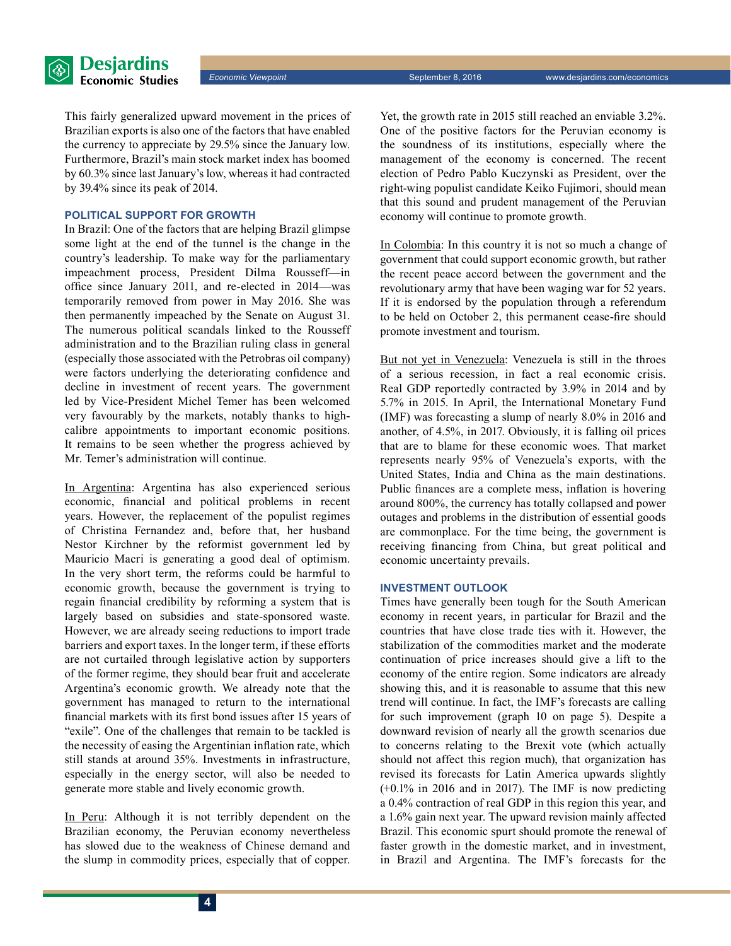This fairly generalized upward movement in the prices of Brazilian exports is also one of the factors that have enabled the currency to appreciate by 29.5% since the January low. Furthermore, Brazil's main stock market index has boomed by 60.3% since last January's low, whereas it had contracted by 39.4% since its peak of 2014.

#### **POLITICAL SUPPORT FOR GROWTH**

In Brazil: One of the factors that are helping Brazil glimpse some light at the end of the tunnel is the change in the country's leadership. To make way for the parliamentary impeachment process, President Dilma Rousseff—in office since January 2011, and re-elected in 2014—was temporarily removed from power in May 2016. She was then permanently impeached by the Senate on August 31. The numerous political scandals linked to the Rousseff administration and to the Brazilian ruling class in general (especially those associated with the Petrobras oil company) were factors underlying the deteriorating confidence and decline in investment of recent years. The government led by Vice-President Michel Temer has been welcomed very favourably by the markets, notably thanks to highcalibre appointments to important economic positions. It remains to be seen whether the progress achieved by Mr. Temer's administration will continue.

In Argentina: Argentina has also experienced serious economic, financial and political problems in recent years. However, the replacement of the populist regimes of Christina Fernandez and, before that, her husband Nestor Kirchner by the reformist government led by Mauricio Macri is generating a good deal of optimism. In the very short term, the reforms could be harmful to economic growth, because the government is trying to regain financial credibility by reforming a system that is largely based on subsidies and state-sponsored waste. However, we are already seeing reductions to import trade barriers and export taxes. In the longer term, if these efforts are not curtailed through legislative action by supporters of the former regime, they should bear fruit and accelerate Argentina's economic growth. We already note that the government has managed to return to the international financial markets with its first bond issues after 15 years of "exile". One of the challenges that remain to be tackled is the necessity of easing the Argentinian inflation rate, which still stands at around 35%. Investments in infrastructure, especially in the energy sector, will also be needed to generate more stable and lively economic growth.

In Peru: Although it is not terribly dependent on the Brazilian economy, the Peruvian economy nevertheless has slowed due to the weakness of Chinese demand and the slump in commodity prices, especially that of copper. Yet, the growth rate in 2015 still reached an enviable 3.2%. One of the positive factors for the Peruvian economy is the soundness of its institutions, especially where the management of the economy is concerned. The recent election of Pedro Pablo Kuczynski as President, over the right-wing populist candidate Keiko Fujimori, should mean that this sound and prudent management of the Peruvian economy will continue to promote growth.

In Colombia: In this country it is not so much a change of government that could support economic growth, but rather the recent peace accord between the government and the revolutionary army that have been waging war for 52 years. If it is endorsed by the population through a referendum to be held on October 2, this permanent cease-fire should promote investment and tourism.

But not yet in Venezuela: Venezuela is still in the throes of a serious recession, in fact a real economic crisis. Real GDP reportedly contracted by 3.9% in 2014 and by 5.7% in 2015. In April, the International Monetary Fund (IMF) was forecasting a slump of nearly 8.0% in 2016 and another, of 4.5%, in 2017. Obviously, it is falling oil prices that are to blame for these economic woes. That market represents nearly 95% of Venezuela's exports, with the United States, India and China as the main destinations. Public finances are a complete mess, inflation is hovering around 800%, the currency has totally collapsed and power outages and problems in the distribution of essential goods are commonplace. For the time being, the government is receiving financing from China, but great political and economic uncertainty prevails.

#### **INVESTMENT OUTLOOK**

Times have generally been tough for the South American economy in recent years, in particular for Brazil and the countries that have close trade ties with it. However, the stabilization of the commodities market and the moderate continuation of price increases should give a lift to the economy of the entire region. Some indicators are already showing this, and it is reasonable to assume that this new trend will continue. In fact, the IMF's forecasts are calling for such improvement (graph 10 on page 5). Despite a downward revision of nearly all the growth scenarios due to concerns relating to the Brexit vote (which actually should not affect this region much), that organization has revised its forecasts for Latin America upwards slightly (+0.1% in 2016 and in 2017). The IMF is now predicting a 0.4% contraction of real GDP in this region this year, and a 1.6% gain next year. The upward revision mainly affected Brazil. This economic spurt should promote the renewal of faster growth in the domestic market, and in investment, in Brazil and Argentina. The IMF's forecasts for the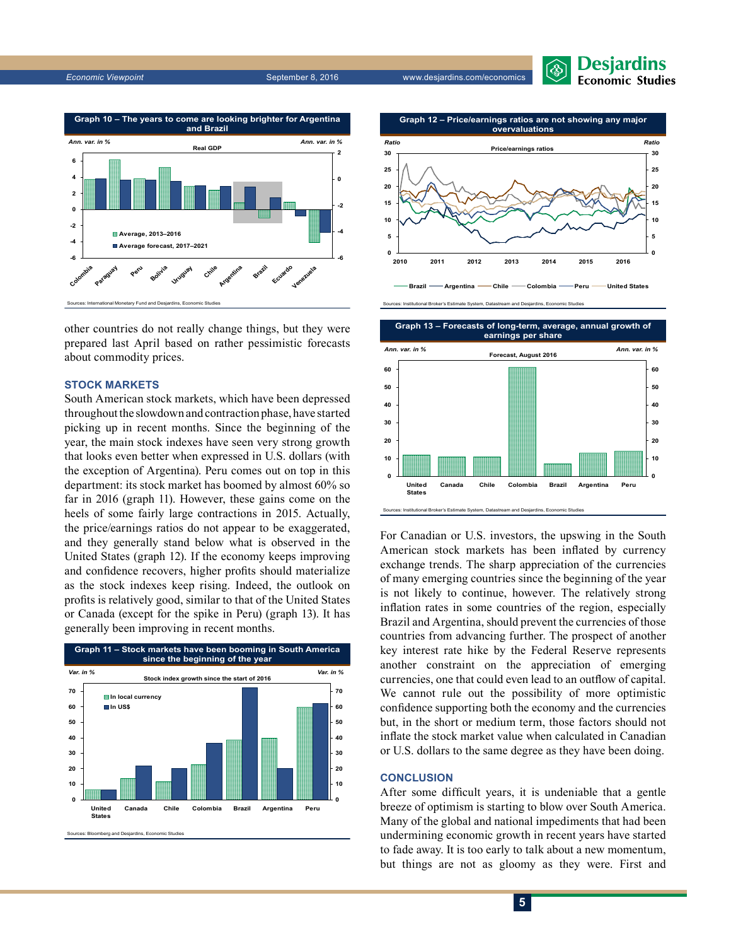

other countries do not really change things, but they were prepared last April based on rather pessimistic forecasts about commodity prices.

#### **STOCK MARKETS**

South American stock markets, which have been depressed throughout the slowdown and contraction phase, have started picking up in recent months. Since the beginning of the year, the main stock indexes have seen very strong growth that looks even better when expressed in U.S. dollars (with the exception of Argentina). Peru comes out on top in this department: its stock market has boomed by almost 60% so far in 2016 (graph 11). However, these gains come on the heels of some fairly large contractions in 2015. Actually, the price/earnings ratios do not appear to be exaggerated, and they generally stand below what is observed in the United States (graph 12). If the economy keeps improving and confidence recovers, higher profits should materialize as the stock indexes keep rising. Indeed, the outlook on profits is relatively good, similar to that of the United States or Canada (except for the spike in Peru) (graph 13). It has generally been improving in recent months.





Desjardins **Economic Studies** 

nal Broker's Estimate System, Datastream and Desjardins, Econor

Sources: Institutional Broker's Estimate System, Datastream and Desjardins, Economic Stu



For Canadian or U.S. investors, the upswing in the South American stock markets has been inflated by currency exchange trends. The sharp appreciation of the currencies of many emerging countries since the beginning of the year is not likely to continue, however. The relatively strong inflation rates in some countries of the region, especially Brazil and Argentina, should prevent the currencies of those countries from advancing further. The prospect of another key interest rate hike by the Federal Reserve represents another constraint on the appreciation of emerging currencies, one that could even lead to an outflow of capital. We cannot rule out the possibility of more optimistic confidence supporting both the economy and the currencies but, in the short or medium term, those factors should not inflate the stock market value when calculated in Canadian or U.S. dollars to the same degree as they have been doing.

#### **CONCLUSION**

After some difficult years, it is undeniable that a gentle breeze of optimism is starting to blow over South America. Many of the global and national impediments that had been undermining economic growth in recent years have started to fade away. It is too early to talk about a new momentum, but things are not as gloomy as they were. First and